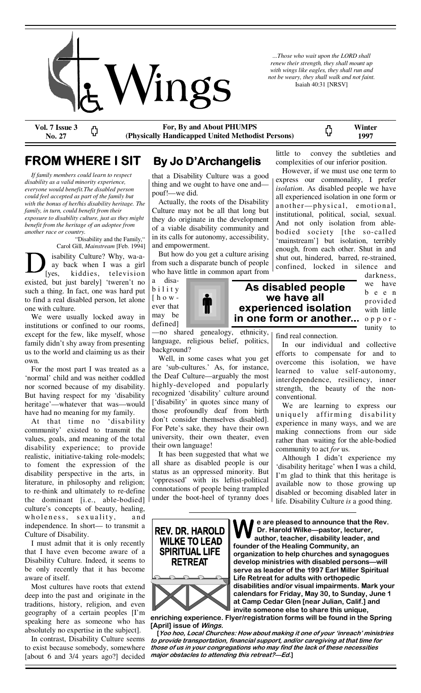

*...Those who wait upon the LORD shall renew their strength, they shall mount up with wings like eagles, they shall run and not be weary, they shall walk and not faint.*  Isaiah 40:31 [NRSV]

**Vol. 7 Issue 3 For, By and About PHUMPS**  Ф

ς, **(Physically Handicapped United Methodist Persons) 1997**  little to convey the subtleties and

## **FROM WHERE I SIT By Jo D'Archangelis**

**No. 27** 

 *If family members could learn to respect disability as a valid minority experience, everyone would benefit.The disabled person could feel accepted as part of the family but with the bonus of her/his disability heritage. The family, in turn, could benefit from their exposure to disability culture, just as they might benefit from the heritage of an adoptee from another race or country.* 

 "Disability and the Family," Carol Gill, *Mainstream* [Feb. 1994] isability Culture? Why, wa-a ay back when I was a girl [yes, kiddies, television existed, but just barely] 'tweren't no such a thing. In fact, one was hard put to find a real disabled person, let alone one with culture.

 We were usually locked away in institutions or confined to our rooms, except for the few, like myself, whose family didn't shy away from presenting us to the world and claiming us as their own.

 For the most part I was treated as a 'normal' child and was neither coddled nor scorned because of my disability. But having respect for my 'disability heritage'—whatever that was—would have had no meaning for my family.

 At that time no 'disability community' existed to transmit the values, goals, and meaning of the total disability experience; to provide realistic, initiative-taking role-models; to foment the expression of the disability perspective in the arts, in literature, in philosophy and religion; to re-think and ultimately to re-define the dominant [i.e., able-bodied] culture's concepts of beauty, healing, wholeness, sexuality, and independence. In short— to transmit a Culture of Disability.

 I must admit that it is only recently that I have even become aware of a Disability Culture. Indeed, it seems to be only recently that it has become aware of itself.

 Most cultures have roots that extend deep into the past and originate in the traditions, history, religion, and even geography of a certain peoples [I'm speaking here as someone who has absolutely no expertise in the subject].

 In contrast, Disability Culture seems to exist because somebody, somewhere [about 6 and 3/4 years ago?] decided

that a Disability Culture was a good thing and we ought to have one and pouf!—we did.

 Actually, the roots of the Disability Culture may not be all that long but they do originate in the development of a viable disability community and in its calls for autonomy, accessibility, and empowerment.

 But how do you get a culture arising from such a disparate bunch of people who have little in common apart from

a disab i l i t y  $[$  h o w ever that may be defined]



—no shared genealogy, ethnicity, language, religious belief, politics, background?

 Well, in some cases what you get are 'sub-cultures.' As, for instance, the Deaf Culture—arguably the most highly-developed and popularly recognized 'disability' culture around ['disability' in quotes since many of those profoundly deaf from birth don't consider themselves disabled]. For Pete's sake, they have their own university, their own theater, even their own language!

 It has been suggested that what we all share as disabled people is our status as an oppressed minority. But 'oppressed' with its leftist-political connotations of people being trampled under the boot-heel of tyranny does

 However, if we must use one term to express our commonality, I prefer *isolation*. As disabled people we have

complexities of our inferior position.

**Winter** 

all experienced isolation in one form or another—physical, emotional, institutional, political, social, sexual. And not only isolation from ablebodied society [the so-called 'mainstream'] but isolation, terribly enough, from each other. Shut in and shut out, hindered, barred, re-strained, confined, locked in silence and

## As disabled people we have all experienced isolation in one form or another...

darkness, we have b e e n provided with little o p p o r tunity to

find real connection.

 In our individual and collective efforts to compensate for and to overcome this isolation, we have learned to value self-autonomy, interdependence, resiliency, inner strength, the beauty of the nonconventional.

 We are learning to express our uniquely affirming disability experience in many ways, and we are making connections from our side rather than waiting for the able-bodied community to act *for* us.

 Although I didn't experience my 'disability heritage' when I was a child, I'm glad to think that this heritage is available now to those growing up disabled or becoming disabled later in life. Disability Culture *is* a good thing.



**enriching experience. Flyer/registration forms will be found in the Spring [April] issue of Wings.** 

 **[Yoo hoo, Local Churches: How about making it one of your 'inreach' ministries to provide transportation, financial support, and/or caregiving at that time for those of us in your congregations who may find the lack of these necessities major obstacles to attending this retreat?—Ed.]**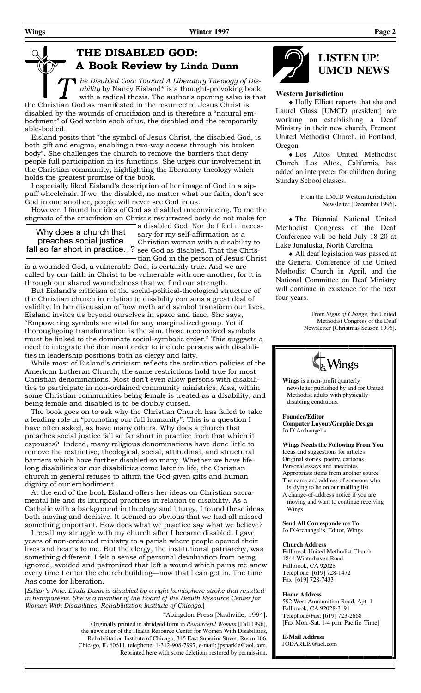## **THE DISABLED GOD: A Book Review by Linda Dunn**

*he Disabled God: Toward A Liberatory Theology of Disability* by Nancy Eisland\* is a thought-provoking book with a radical thesis. The author's opening salvo is that the Christian God as manifested in the resurrected Jesus Christ is disabled by the wounds of crucifixion and is therefore a "natural embodiment" of God within each of us, the disabled and the temporarily able-bodied.

 Eisland posits that "the symbol of Jesus Christ, the disabled God, is both gift and enigma, enabling a two-way access through his broken body". She challenges the church to remove the barriers that deny people full participation in its functions. She urges our involvement in the Christian community, highlighting the liberatory theology which holds the greatest promise of the book.

 I especially liked Eisland's description of her image of God in a sippuff wheelchair. If we, the disabled, no matter what our faith, don't see God in one another, people will never see God in us.

 However, I found her idea of God as disabled unconvincing. To me the stigmata of the crucifixion on Christ's resurrected body do not make for

Why does a church that preaches social justice

a disabled God. Nor do I feel it necessary for my self-affirmation as a Christian woman with a disability to fall so far short in practice...? see God as disabled. That the Christian God in the person of Jesus Christ

is a wounded God, a vulnerable God, is certainly true. And we are called by our faith in Christ to be vulnerable with one another, for it is through our shared woundedness that we find our strength.

 But Eisland's criticism of the social-political-theological structure of the Christian church in relation to disability contains a great deal of validity. In her discussion of how myth and symbol transform our lives, Eisland invites us beyond ourselves in space and time. She says, "Empowering symbols are vital for any marginalized group. Yet if thoroughgoing transformation is the aim, those reconceived symbols must be linked to the dominate social-symbolic order." This suggests a need to integrate the dominant order to include persons with disabilities in leadership positions both as clergy and laity.

 While most of Eisland's criticism reflects the ordination policies of the American Lutheran Church, the same restrictions hold true for most Christian denominations. Most don't even allow persons with disabilities to participate in non-ordained community ministries. Alas, within some Christian communities being female is treated as a disability, and being female and disabled is to be doubly cursed.

 The book goes on to ask why the Christian Church has failed to take a leading role in "promoting our full humanity". This is a question I have often asked, as have many others. Why does a church that preaches social justice fall so far short in practice from that which it espouses? Indeed, many religious denominations have done little to remove the restrictive, theological, social, attitudinal, and structural barriers which have further disabled so many. Whether we have lifelong disabilities or our disabilities come later in life, the Christian church in general refuses to affirm the God-given gifts and human dignity of our embodiment.

 At the end of the book Eisland offers her ideas on Christian sacramental life and its liturgical practices in relation to disability. As a Catholic with a background in theology and liturgy, I found these ideas both moving and decisive. It seemed so obvious that we had all missed something important. How does what we practice say what we believe?

 I recall my struggle with my church after I became disabled. I gave years of non-ordained ministry to a parish where people opened their lives and hearts to me. But the clergy, the institutional patriarchy, was something different. I felt a sense of personal devaluation from being ignored, avoided and patronized that left a wound which pains me anew every time I enter the church building—now that I can get in. The time *has* come for liberation.

[*Editor's Note: Linda Dunn is disabled by a right hemisphere stroke that resulted in hemiparesis. She is a member of the Board of the Health Resource Center for Women With Disabilities, Rehabilitation Institute of Chicago.*]

> \*Abingdon Press [Nashville, 1994]. Originally printed in abridged form in *Resourceful Woman* [Fall 1996], the newsletter of the Health Resource Center for Women With Disabilities, Rehabilitation Institute of Chicago, 345 East Superior Street, Room 106, Chicago, IL 60611, telephone: 1-312-908-7997, e-mail: jpsparkle@aol.com. Reprinted here with some deletions restored by permission.



# **UMCD NEWS**

#### **Western Jurisdiction**

♦ Holly Elliott reports that she and Laurel Glass [UMCD president] are working on establishing a Deaf Ministry in their new church, Fremont United Methodist Church, in Portland, Oregon.

♦ Los Altos United Methodist Church, Los Altos, California, has added an interpreter for children during Sunday School classes.

> From the UMCD Western Jurisdiction Newsletter [December 1996]**.**

♦ The Biennial National United Methodist Congress of the Deaf Conference will be held July 18-20 at Lake Junaluska, North Carolina.

♦ All deaf legislation was passed at the General Conference of the United Methodist Church in April, and the National Committee on Deaf Ministry will continue in existence for the next four years.

> From *Signs of Change*, the United Methodist Congress of the Deaf Newsletter [Christmas Season 1996].



**Wings** is a non-profit quarterly newsletter published by and for United Methodist adults with physically disabling conditions.

**Founder/Editor Computer Layout/Graphic Design**  Jo D'Archangelis

**Wings Needs the Following From You**  Ideas and suggestions for articles Original stories, poetry, cartoons Personal essays and anecdotes Appropriate items from another source The name and address of someone who is dying to be on our mailing list

A change-of-address notice if you are moving and want to continue receiving Wings

**Send All Correspondence To**  Jo D'Archangelis, Editor, Wings

#### **Church Address**

Fallbrook United Methodist Church 1844 Winterhaven Road Fallbrook, CA 92028 Telephone [619] 728-1472 Fax [619] 728-7433

#### **Home Address**

592 West Ammunition Road, Apt. 1 Fallbrook, CA 92028-3191 Telephone/Fax: [619] 723-2668 [Fax Mon.-Sat. 1-4 p.m. Pacific Time]

**E-Mail Address**  JODARLIS@aol.com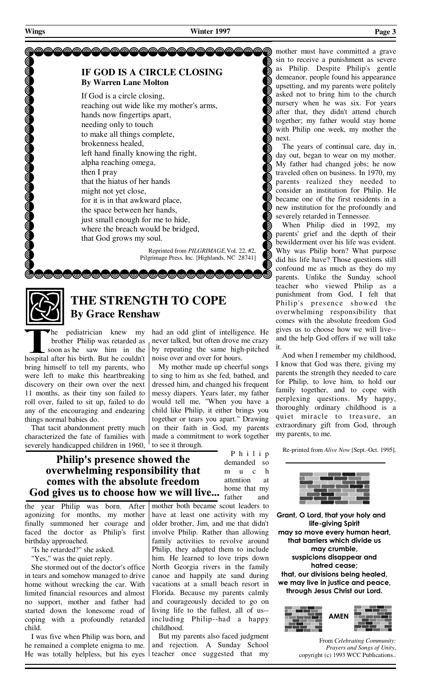### **IF GOD IS A CIRCLE CLOSING By Warren Lane Molton**

 If God is a circle closing, reaching out wide like my mother's arms, hands now fingertips apart, needing only to touch to make all things complete, brokenness healed, left hand finally knowing the right, alpha reaching omega, then I pray that the hiatus of her hands might not yet close, for it is in that awkward place, the space between her hands, just small enough for me to hide, where the breach would be bridged, that God grows my soul.

> Reprinted from *PILGRIMAGE,*Vol. 22, #2, Pilgrimage Press, Inc. [Highlands, NC 28741]



## **THE STRENGTH TO COPE By Grace Renshaw**

<u> Comprendent (Marchandra) (Marchandra) (Marchandra) (Marchandra) (Marchandra) (Marchandra) (Marchandra) (March</u>

he pediatrician knew my brother Philip was retarded as soon as he saw him in the hospital after his birth. But he couldn't bring himself to tell my parents, who were left to make this heartbreaking discovery on their own over the next 11 months, as their tiny son failed to roll over, failed to sit up, failed to do any of the encouraging and endearing things normal babies do.

 That tacit abandonment pretty much characterized the fate of families with severely handicapped children in 1960,

had an odd glint of intelligence. He never talked, but often drove me crazy by repeating the same high-pitched noise over and over for hours.

 My mother made up cheerful songs to sing to him as she fed, bathed, and dressed him, and changed his frequent messy diapers. Years later, my father would tell me, "When you have a child like Philip, it either brings you together or tears you apart." Drawing on their faith in God, my parents made a commitment to work together to see it through.

> demanded so m u c h attention at home that my

P h i l i p

**Philip's presence showed the** overwhelming responsibility that comes with the absolute freedom God gives us to choose how we will live... home that my

the year Philip was born. After agonizing for months, my mother finally summoned her courage and faced the doctor as Philip's first birthday approached.

"Is he retarded?" she asked.

"Yes," was the quiet reply.

 She stormed out of the doctor's office in tears and somehow managed to drive home without wrecking the car. With limited financial resources and almost no support, mother and father had started down the lonesome road of coping with a profoundly retarded child.

 I was five when Philip was born, and he remained a complete enigma to me. He was totally helpless, but his eyes mother both became scout leaders to have at least one activity with my older brother, Jim, and me that didn't involve Philip. Rather than allowing family activities to revolve around Philip, they adapted them to include him. He learned to love trips down North Georgia rivers in the family canoe and happily ate sand during vacations at a small beach resort in Florida. Because my parents calmly and courageously decided to go on living life to the fullest, all of us- including Philip--had a happy childhood.

 But my parents also faced judgment and rejection. A Sunday School teacher once suggested that my

mother must have committed a grave sin to receive a punishment as severe as Philip. Despite Philip's gentle demeanor, people found his appearance upsetting, and my parents were politely asked not to bring him to the church nursery when he was six. For years after that, they didn't attend church together; my father would stay home with Philip one week, my mother the next.

 The years of continual care, day in, day out, began to wear on my mother. My father had changed jobs; he now traveled often on business. In 1970, my parents realized they needed to consider an institution for Philip. He became one of the first residents in a new institution for the profoundly and severely retarded in Tennessee.

 When Philip died in 1992, my parents' grief and the depth of their bewilderment over his life was evident. Why was Philip born? What purpose did his life have? Those questions still confound me as much as they do my parents. Unlike the Sunday school teacher who viewed Philip as a punishment from God, I felt that Philip's presence showed the overwhelming responsibility that comes with the absolute freedom God gives us to choose how we will live- and the help God offers if we will take it.

 And when I remember my childhood, I know that God was there, giving my parents the strength they needed to care for Philip, to love him, to hold our family together, and to cope with perplexing questions. My happy, thoroughly ordinary childhood is a quiet miracle to treasure, an extraordinary gift from God, through my parents, to me.

Re-printed from *Alive Now* [Sept.-Oct. 1995].



**Grant, O Lord, that your holy and life-giving Spirit may so move every human heart, that barriers which divide us may crumble, suspicions disappear and hatred cease; that, our divisions being healed, we may live in justice and peace, through Jesus Christ our Lord.** 



From *Celebrating Community: Prayers and Songs of Unity*, copyright (c) 1993 WCC Publications..

**De Geogeee Geogee**